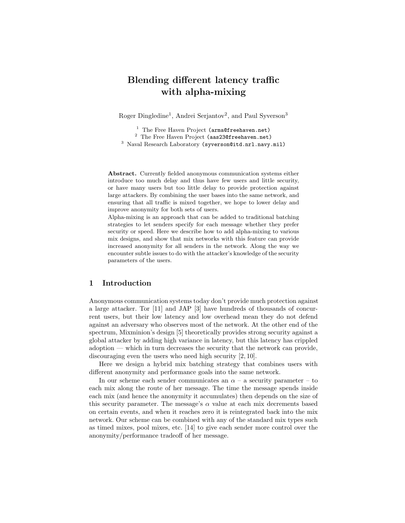# Blending different latency traffic with alpha-mixing

Roger Dingledine<sup>1</sup>, Andrei Serjantov<sup>2</sup>, and Paul Syverson<sup>3</sup>

 $<sup>1</sup>$  The Free Haven Project (arma@freehaven.net)</sup> <sup>2</sup> The Free Haven Project (aas23@freehaven.net) <sup>3</sup> Naval Research Laboratory (syverson@itd.nrl.navy.mil)

Abstract. Currently fielded anonymous communication systems either introduce too much delay and thus have few users and little security, or have many users but too little delay to provide protection against large attackers. By combining the user bases into the same network, and ensuring that all traffic is mixed together, we hope to lower delay and improve anonymity for both sets of users.

Alpha-mixing is an approach that can be added to traditional batching strategies to let senders specify for each message whether they prefer security or speed. Here we describe how to add alpha-mixing to various mix designs, and show that mix networks with this feature can provide increased anonymity for all senders in the network. Along the way we encounter subtle issues to do with the attacker's knowledge of the security parameters of the users.

## 1 Introduction

Anonymous communication systems today don't provide much protection against a large attacker. Tor [11] and JAP [3] have hundreds of thousands of concurrent users, but their low latency and low overhead mean they do not defend against an adversary who observes most of the network. At the other end of the spectrum, Mixminion's design [5] theoretically provides strong security against a global attacker by adding high variance in latency, but this latency has crippled adoption — which in turn decreases the security that the network can provide, discouraging even the users who need high security  $[2, 10]$ .

Here we design a hybrid mix batching strategy that combines users with different anonymity and performance goals into the same network.

In our scheme each sender communicates an  $\alpha$  – a security parameter – to each mix along the route of her message. The time the message spends inside each mix (and hence the anonymity it accumulates) then depends on the size of this security parameter. The message's  $\alpha$  value at each mix decrements based on certain events, and when it reaches zero it is reintegrated back into the mix network. Our scheme can be combined with any of the standard mix types such as timed mixes, pool mixes, etc. [14] to give each sender more control over the anonymity/performance tradeoff of her message.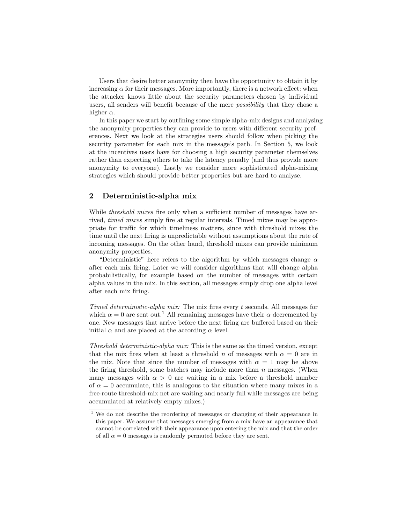Users that desire better anonymity then have the opportunity to obtain it by increasing  $\alpha$  for their messages. More importantly, there is a network effect: when the attacker knows little about the security parameters chosen by individual users, all senders will benefit because of the mere possibility that they chose a higher  $\alpha$ .

In this paper we start by outlining some simple alpha-mix designs and analysing the anonymity properties they can provide to users with different security preferences. Next we look at the strategies users should follow when picking the security parameter for each mix in the message's path. In Section 5, we look at the incentives users have for choosing a high security parameter themselves rather than expecting others to take the latency penalty (and thus provide more anonymity to everyone). Lastly we consider more sophisticated alpha-mixing strategies which should provide better properties but are hard to analyse.

## 2 Deterministic-alpha mix

While *threshold mixes* fire only when a sufficient number of messages have arrived, timed mixes simply fire at regular intervals. Timed mixes may be appropriate for traffic for which timeliness matters, since with threshold mixes the time until the next firing is unpredictable without assumptions about the rate of incoming messages. On the other hand, threshold mixes can provide minimum anonymity properties.

"Deterministic" here refers to the algorithm by which messages change  $\alpha$ after each mix firing. Later we will consider algorithms that will change alpha probabilistically, for example based on the number of messages with certain alpha values in the mix. In this section, all messages simply drop one alpha level after each mix firing.

Timed deterministic-alpha mix: The mix fires every t seconds. All messages for which  $\alpha = 0$  are sent out.<sup>1</sup> All remaining messages have their  $\alpha$  decremented by one. New messages that arrive before the next firing are buffered based on their initial  $\alpha$  and are placed at the according  $\alpha$  level.

Threshold deterministic-alpha mix: This is the same as the timed version, except that the mix fires when at least a threshold n of messages with  $\alpha = 0$  are in the mix. Note that since the number of messages with  $\alpha = 1$  may be above the firing threshold, some batches may include more than  $n$  messages. (When many messages with  $\alpha > 0$  are waiting in a mix before a threshold number of  $\alpha = 0$  accumulate, this is analogous to the situation where many mixes in a free-route threshold-mix net are waiting and nearly full while messages are being accumulated at relatively empty mixes.)

<sup>1</sup> We do not describe the reordering of messages or changing of their appearance in this paper. We assume that messages emerging from a mix have an appearance that cannot be correlated with their appearance upon entering the mix and that the order of all  $\alpha = 0$  messages is randomly permuted before they are sent.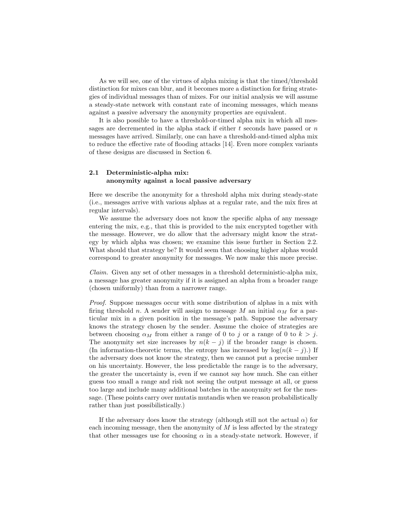As we will see, one of the virtues of alpha mixing is that the timed/threshold distinction for mixes can blur, and it becomes more a distinction for firing strategies of individual messages than of mixes. For our initial analysis we will assume a steady-state network with constant rate of incoming messages, which means against a passive adversary the anonymity properties are equivalent.

It is also possible to have a threshold-or-timed alpha mix in which all messages are decremented in the alpha stack if either  $t$  seconds have passed or  $n$ messages have arrived. Similarly, one can have a threshold-and-timed alpha mix to reduce the effective rate of flooding attacks [14]. Even more complex variants of these designs are discussed in Section 6.

#### 2.1 Deterministic-alpha mix: anonymity against a local passive adversary

Here we describe the anonymity for a threshold alpha mix during steady-state (i.e., messages arrive with various alphas at a regular rate, and the mix fires at regular intervals).

We assume the adversary does not know the specific alpha of any message entering the mix, e.g., that this is provided to the mix encrypted together with the message. However, we do allow that the adversary might know the strategy by which alpha was chosen; we examine this issue further in Section 2.2. What should that strategy be? It would seem that choosing higher alphas would correspond to greater anonymity for messages. We now make this more precise.

Claim. Given any set of other messages in a threshold deterministic-alpha mix, a message has greater anonymity if it is assigned an alpha from a broader range (chosen uniformly) than from a narrower range.

Proof. Suppose messages occur with some distribution of alphas in a mix with firing threshold n. A sender will assign to message M an initial  $\alpha_M$  for a particular mix in a given position in the message's path. Suppose the adversary knows the strategy chosen by the sender. Assume the choice of strategies are between choosing  $\alpha_M$  from either a range of 0 to j or a range of 0 to  $k > j$ . The anonymity set size increases by  $n(k - j)$  if the broader range is chosen. (In information-theoretic terms, the entropy has increased by  $log(n(k - j))$ ) If the adversary does not know the strategy, then we cannot put a precise number on his uncertainty. However, the less predictable the range is to the adversary, the greater the uncertainty is, even if we cannot say how much. She can either guess too small a range and risk not seeing the output message at all, or guess too large and include many additional batches in the anonymity set for the message. (These points carry over mutatis mutandis when we reason probabilistically rather than just possibilistically.)

If the adversary does know the strategy (although still not the actual  $\alpha$ ) for each incoming message, then the anonymity of  $M$  is less affected by the strategy that other messages use for choosing  $\alpha$  in a steady-state network. However, if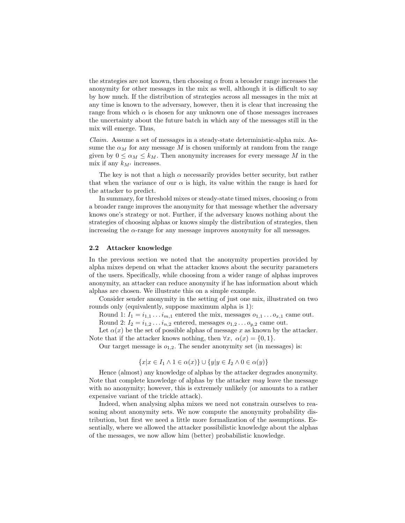the strategies are not known, then choosing  $\alpha$  from a broader range increases the anonymity for other messages in the mix as well, although it is difficult to say by how much. If the distribution of strategies across all messages in the mix at any time is known to the adversary, however, then it is clear that increasing the range from which  $\alpha$  is chosen for any unknown one of those messages increases the uncertainty about the future batch in which any of the messages still in the mix will emerge. Thus,

Claim. Assume a set of messages in a steady-state deterministic-alpha mix. Assume the  $\alpha_M$  for any message M is chosen uniformly at random from the range given by  $0 \le \alpha_M \le k_M$ . Then anonymity increases for every message M in the mix if any  $k_{M'}$  increases.

The key is not that a high  $\alpha$  necessarily provides better security, but rather that when the variance of our  $\alpha$  is high, its value within the range is hard for the attacker to predict.

In summary, for threshold mixes or steady-state timed mixes, choosing  $\alpha$  from a broader range improves the anonymity for that message whether the adversary knows one's strategy or not. Further, if the adversary knows nothing about the strategies of choosing alphas or knows simply the distribution of strategies, then increasing the  $\alpha$ -range for any message improves anonymity for all messages.

#### 2.2 Attacker knowledge

In the previous section we noted that the anonymity properties provided by alpha mixes depend on what the attacker knows about the security parameters of the users. Specifically, while choosing from a wider range of alphas improves anonymity, an attacker can reduce anonymity if he has information about which alphas are chosen. We illustrate this on a simple example.

Consider sender anonymity in the setting of just one mix, illustrated on two rounds only (equivalently, suppose maximum alpha is 1):

Round 1:  $I_1 = i_{1,1} \ldots i_{m,1}$  entered the mix, messages  $o_{1,1} \ldots o_{x,1}$  came out.

Round 2:  $I_2 = i_{1,2} \ldots i_{n,2}$  entered, messages  $o_{1,2} \ldots o_{y,2}$  came out.

Let  $\alpha(x)$  be the set of possible alphas of message x as known by the attacker. Note that if the attacker knows nothing, then  $\forall x, \alpha(x) = \{0, 1\}.$ 

Our target message is  $o_{1,2}$ . The sender anonymity set (in messages) is:

$$
\{x|x \in I_1 \land 1 \in \alpha(x)\} \cup \{y|y \in I_2 \land 0 \in \alpha(y)\}\
$$

Hence (almost) any knowledge of alphas by the attacker degrades anonymity. Note that complete knowledge of alphas by the attacker  $may$  leave the message with no anonymity; however, this is extremely unlikely (or amounts to a rather expensive variant of the trickle attack).

Indeed, when analysing alpha mixes we need not constrain ourselves to reasoning about anonymity sets. We now compute the anonymity probability distribution, but first we need a little more formalization of the assumptions. Essentially, where we allowed the attacker possibilistic knowledge about the alphas of the messages, we now allow him (better) probabilistic knowledge.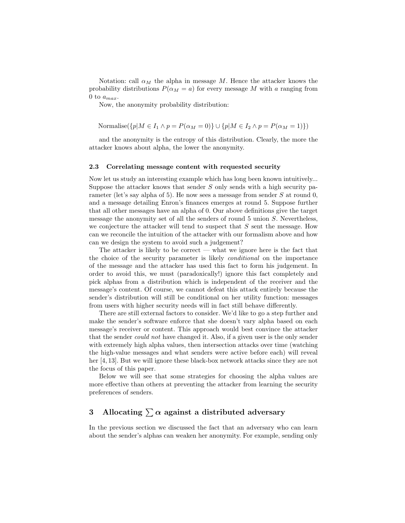Notation: call  $\alpha_M$  the alpha in message M. Hence the attacker knows the probability distributions  $P(\alpha_M = a)$  for every message M with a ranging from 0 to  $a_{max}$ .

Now, the anonymity probability distribution:

$$
Normalise(\{p | M \in I_1 \land p = P(\alpha_M = 0)\} \cup \{p | M \in I_2 \land p = P(\alpha_M = 1)\})
$$

and the anonymity is the entropy of this distribution. Clearly, the more the attacker knows about alpha, the lower the anonymity.

#### 2.3 Correlating message content with requested security

Now let us study an interesting example which has long been known intuitively... Suppose the attacker knows that sender  $S$  only sends with a high security parameter (let's say alpha of 5). He now sees a message from sender  $S$  at round 0, and a message detailing Enron's finances emerges at round 5. Suppose further that all other messages have an alpha of 0. Our above definitions give the target message the anonymity set of all the senders of round 5 union S. Nevertheless, we conjecture the attacker will tend to suspect that  $S$  sent the message. How can we reconcile the intuition of the attacker with our formalism above and how can we design the system to avoid such a judgement?

The attacker is likely to be correct — what we ignore here is the fact that the choice of the security parameter is likely conditional on the importance of the message and the attacker has used this fact to form his judgement. In order to avoid this, we must (paradoxically!) ignore this fact completely and pick alphas from a distribution which is independent of the receiver and the message's content. Of course, we cannot defeat this attack entirely because the sender's distribution will still be conditional on her utility function: messages from users with higher security needs will in fact still behave differently.

There are still external factors to consider. We'd like to go a step further and make the sender's software enforce that she doesn't vary alpha based on each message's receiver or content. This approach would best convince the attacker that the sender could not have changed it. Also, if a given user is the only sender with extremely high alpha values, then intersection attacks over time (watching the high-value messages and what senders were active before each) will reveal her [4, 13]. But we will ignore these black-box network attacks since they are not the focus of this paper.

Below we will see that some strategies for choosing the alpha values are more effective than others at preventing the attacker from learning the security preferences of senders.

## 3 Allocating  $\sum \alpha$  against a distributed adversary

In the previous section we discussed the fact that an adversary who can learn about the sender's alphas can weaken her anonymity. For example, sending only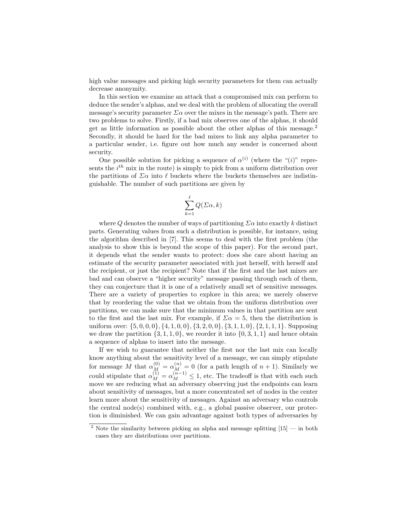high value messages and picking high security parameters for them can actually decrease anonymity.

In this section we examine an attack that a compromised mix can perform to deduce the sender's alphas, and we deal with the problem of allocating the overall message's security parameter  $\Sigma \alpha$  over the mixes in the message's path. There are two problems to solve. Firstly, if a bad mix observes one of the alphas, it should get as little information as possible about the other alphas of this message.<sup>2</sup> Secondly, it should be hard for the bad mixes to link any alpha parameter to a particular sender, i.e. figure out how much any sender is concerned about security.

One possible solution for picking a sequence of  $\alpha^{(i)}$  (where the " $(i)$ " represents the  $i^{th}$  mix in the route) is simply to pick from a uniform distribution over the partitions of  $\Sigma \alpha$  into  $\ell$  buckets where the buckets themselves are indistinguishable. The number of such partitions are given by

$$
\sum_{k=1}^\ell Q(\varSigma\alpha,k)
$$

where Q denotes the number of ways of partitioning  $\Sigma \alpha$  into exactly k distinct parts. Generating values from such a distribution is possible, for instance, using the algorithm described in [7]. This seems to deal with the first problem (the analysis to show this is beyond the scope of this paper). For the second part, it depends what the sender wants to protect: does she care about having an estimate of the security parameter associated with just herself, with herself and the recipient, or just the recipient? Note that if the first and the last mixes are bad and can observe a "higher security" message passing through each of them, they can conjecture that it is one of a relatively small set of sensitive messages. There are a variety of properties to explore in this area; we merely observe that by reordering the value that we obtain from the uniform distribution over partitions, we can make sure that the minimum values in that partition are sent to the first and the last mix. For example, if  $\Sigma \alpha = 5$ , then the distribution is uniform over:  $\{5,0,0,0\}, \{4,1,0,0\}, \{3,2,0,0\}, \{3,1,1,0\}, \{2,1,1,1\}.$  Supposing we draw the partition  $\{3, 1, 1, 0\}$ , we reorder it into  $\{0, 3, 1, 1\}$  and hence obtain a sequence of alphas to insert into the message.

If we wish to guarantee that neither the first nor the last mix can locally know anything about the sensitivity level of a message, we can simply stipulate for message M that  $\alpha_M^{(0)} = \alpha_M^{(n)} = 0$  (for a path length of  $n + 1$ ). Similarly we could stipulate that  $\alpha_M^{(1)} = \alpha_M^{(n-1)} \leq 1$ , etc. The tradeoff is that with each such move we are reducing what an adversary observing just the endpoints can learn about sensitivity of messages, but a more concentrated set of nodes in the center learn more about the sensitivity of messages. Against an adversary who controls the central node(s) combined with, e.g., a global passive observer, our protection is diminished. We can gain advantage against both types of adversaries by

<sup>&</sup>lt;sup>2</sup> Note the similarity between picking an alpha and message splitting  $[15]$  — in both cases they are distributions over partitions.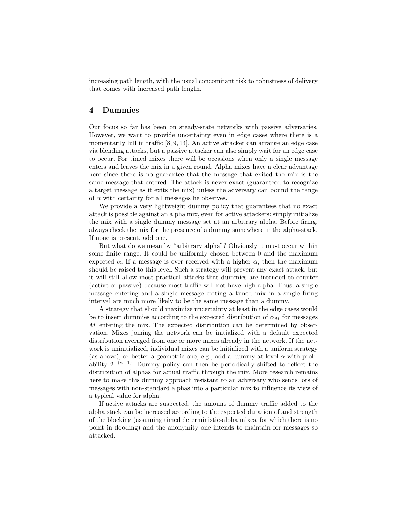increasing path length, with the usual concomitant risk to robustness of delivery that comes with increased path length.

## 4 Dummies

Our focus so far has been on steady-state networks with passive adversaries. However, we want to provide uncertainty even in edge cases where there is a momentarily lull in traffic [8, 9, 14]. An active attacker can arrange an edge case via blending attacks, but a passive attacker can also simply wait for an edge case to occur. For timed mixes there will be occasions when only a single message enters and leaves the mix in a given round. Alpha mixes have a clear advantage here since there is no guarantee that the message that exited the mix is the same message that entered. The attack is never exact (guaranteed to recognize a target message as it exits the mix) unless the adversary can bound the range of  $\alpha$  with certainty for all messages he observes.

We provide a very lightweight dummy policy that guarantees that no exact attack is possible against an alpha mix, even for active attackers: simply initialize the mix with a single dummy message set at an arbitrary alpha. Before firing, always check the mix for the presence of a dummy somewhere in the alpha-stack. If none is present, add one.

But what do we mean by "arbitrary alpha"? Obviously it must occur within some finite range. It could be uniformly chosen between 0 and the maximum expected  $\alpha$ . If a message is ever received with a higher  $\alpha$ , then the maximum should be raised to this level. Such a strategy will prevent any exact attack, but it will still allow most practical attacks that dummies are intended to counter (active or passive) because most traffic will not have high alpha. Thus, a single message entering and a single message exiting a timed mix in a single firing interval are much more likely to be the same message than a dummy.

A strategy that should maximize uncertainty at least in the edge cases would be to insert dummies according to the expected distribution of  $\alpha_M$  for messages M entering the mix. The expected distribution can be determined by observation. Mixes joining the network can be initialized with a default expected distribution averaged from one or more mixes already in the network. If the network is uninitialized, individual mixes can be initialized with a uniform strategy (as above), or better a geometric one, e.g., add a dummy at level  $\alpha$  with probability  $2^{-(\alpha+1)}$ . Dummy policy can then be periodically shifted to reflect the distribution of alphas for actual traffic through the mix. More research remains here to make this dummy approach resistant to an adversary who sends lots of messages with non-standard alphas into a particular mix to influence its view of a typical value for alpha.

If active attacks are suspected, the amount of dummy traffic added to the alpha stack can be increased according to the expected duration of and strength of the blocking (assuming timed deterministic-alpha mixes, for which there is no point in flooding) and the anonymity one intends to maintain for messages so attacked.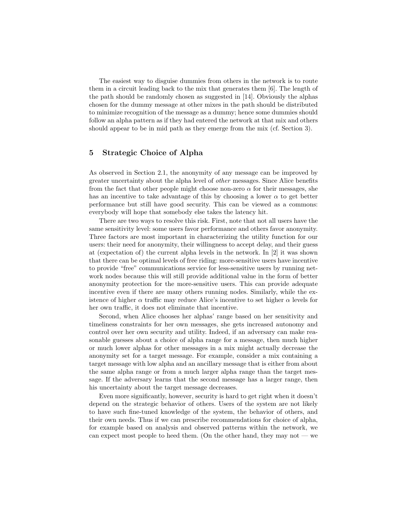The easiest way to disguise dummies from others in the network is to route them in a circuit leading back to the mix that generates them [6]. The length of the path should be randomly chosen as suggested in [14]. Obviously the alphas chosen for the dummy message at other mixes in the path should be distributed to minimize recognition of the message as a dummy; hence some dummies should follow an alpha pattern as if they had entered the network at that mix and others should appear to be in mid path as they emerge from the mix (cf. Section 3).

## 5 Strategic Choice of Alpha

As observed in Section 2.1, the anonymity of any message can be improved by greater uncertainty about the alpha level of other messages. Since Alice benefits from the fact that other people might choose non-zero  $\alpha$  for their messages, she has an incentive to take advantage of this by choosing a lower  $\alpha$  to get better performance but still have good security. This can be viewed as a commons: everybody will hope that somebody else takes the latency hit.

There are two ways to resolve this risk. First, note that not all users have the same sensitivity level: some users favor performance and others favor anonymity. Three factors are most important in characterizing the utility function for our users: their need for anonymity, their willingness to accept delay, and their guess at (expectation of) the current alpha levels in the network. In [2] it was shown that there can be optimal levels of free riding: more-sensitive users have incentive to provide "free" communications service for less-sensitive users by running network nodes because this will still provide additional value in the form of better anonymity protection for the more-sensitive users. This can provide adequate incentive even if there are many others running nodes. Similarly, while the existence of higher  $\alpha$  traffic may reduce Alice's incentive to set higher  $\alpha$  levels for her own traffic, it does not eliminate that incentive.

Second, when Alice chooses her alphas' range based on her sensitivity and timeliness constraints for her own messages, she gets increased autonomy and control over her own security and utility. Indeed, if an adversary can make reasonable guesses about a choice of alpha range for a message, then much higher or much lower alphas for other messages in a mix might actually decrease the anonymity set for a target message. For example, consider a mix containing a target message with low alpha and an ancillary message that is either from about the same alpha range or from a much larger alpha range than the target message. If the adversary learns that the second message has a larger range, then his uncertainty about the target message decreases.

Even more significantly, however, security is hard to get right when it doesn't depend on the strategic behavior of others. Users of the system are not likely to have such fine-tuned knowledge of the system, the behavior of others, and their own needs. Thus if we can prescribe recommendations for choice of alpha, for example based on analysis and observed patterns within the network, we can expect most people to heed them. (On the other hand, they may not — we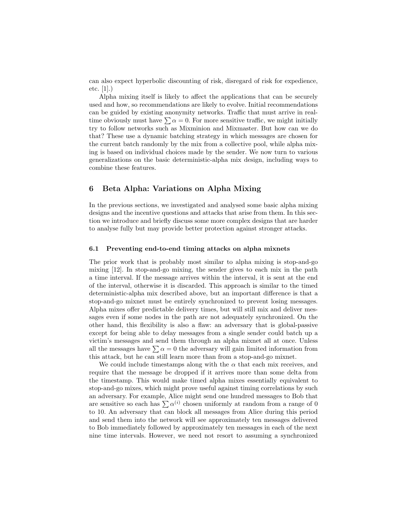can also expect hyperbolic discounting of risk, disregard of risk for expedience, etc. [1].)

Alpha mixing itself is likely to affect the applications that can be securely used and how, so recommendations are likely to evolve. Initial recommendations can be guided by existing anonymity networks. Traffic that must arrive in realtime obviously must have  $\sum \alpha = 0$ . For more sensitive traffic, we might initially try to follow networks such as Mixminion and Mixmaster. But how can we do that? These use a dynamic batching strategy in which messages are chosen for the current batch randomly by the mix from a collective pool, while alpha mixing is based on individual choices made by the sender. We now turn to various generalizations on the basic deterministic-alpha mix design, including ways to combine these features.

## 6 Beta Alpha: Variations on Alpha Mixing

In the previous sections, we investigated and analysed some basic alpha mixing designs and the incentive questions and attacks that arise from them. In this section we introduce and briefly discuss some more complex designs that are harder to analyse fully but may provide better protection against stronger attacks.

#### 6.1 Preventing end-to-end timing attacks on alpha mixnets

The prior work that is probably most similar to alpha mixing is stop-and-go mixing [12]. In stop-and-go mixing, the sender gives to each mix in the path a time interval. If the message arrives within the interval, it is sent at the end of the interval, otherwise it is discarded. This approach is similar to the timed deterministic-alpha mix described above, but an important difference is that a stop-and-go mixnet must be entirely synchronized to prevent losing messages. Alpha mixes offer predictable delivery times, but will still mix and deliver messages even if some nodes in the path are not adequately synchronized. On the other hand, this flexibility is also a flaw: an adversary that is global-passive except for being able to delay messages from a single sender could batch up a victim's messages and send them through an alpha mixnet all at once. Unless all the messages have  $\sum \alpha = 0$  the adversary will gain limited information from this attack, but he can still learn more than from a stop-and-go mixnet.

We could include timestamps along with the  $\alpha$  that each mix receives, and require that the message be dropped if it arrives more than some delta from the timestamp. This would make timed alpha mixes essentially equivalent to stop-and-go mixes, which might prove useful against timing correlations by such an adversary. For example, Alice might send one hundred messages to Bob that are sensitive so each has  $\sum \alpha^{(i)}$  chosen uniformly at random from a range of 0 to 10. An adversary that can block all messages from Alice during this period and send them into the network will see approximately ten messages delivered to Bob immediately followed by approximately ten messages in each of the next nine time intervals. However, we need not resort to assuming a synchronized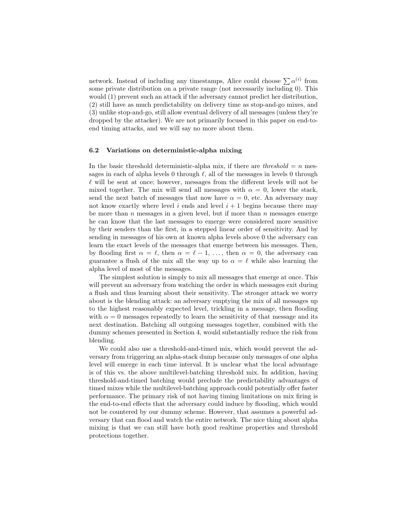network. Instead of including any timestamps, Alice could choose  $\sum \alpha^{(i)}$  from some private distribution on a private range (not necessarily including 0). This would (1) prevent such an attack if the adversary cannot predict her distribution, (2) still have as much predictability on delivery time as stop-and-go mixes, and (3) unlike stop-and-go, still allow eventual delivery of all messages (unless they're dropped by the attacker). We are not primarily focused in this paper on end-toend timing attacks, and we will say no more about them.

#### 6.2 Variations on deterministic-alpha mixing

In the basic threshold deterministic-alpha mix, if there are *threshold*  $= n$  messages in each of alpha levels 0 through  $\ell$ , all of the messages in levels 0 through  $\ell$  will be sent at once; however, messages from the different levels will not be mixed together. The mix will send all messages with  $\alpha = 0$ , lower the stack, send the next batch of messages that now have  $\alpha = 0$ , etc. An adversary may not know exactly where level i ends and level  $i + 1$  begins because there may be more than  $n$  messages in a given level, but if more than  $n$  messages emerge he can know that the last messages to emerge were considered more sensitive by their senders than the first, in a stepped linear order of sensitivity. And by sending in messages of his own at known alpha levels above 0 the adversary can learn the exact levels of the messages that emerge between his messages. Then, by flooding first  $\alpha = \ell$ , then  $\alpha = \ell - 1, \ldots$ , then  $\alpha = 0$ , the adversary can guarantee a flush of the mix all the way up to  $\alpha = \ell$  while also learning the alpha level of most of the messages.

The simplest solution is simply to mix all messages that emerge at once. This will prevent an adversary from watching the order in which messages exit during a flush and thus learning about their sensitivity. The stronger attack we worry about is the blending attack: an adversary emptying the mix of all messages up to the highest reasonably expected level, trickling in a message, then flooding with  $\alpha = 0$  messages repeatedly to learn the sensitivity of that message and its next destination. Batching all outgoing messages together, combined with the dummy schemes presented in Section 4, would substantially reduce the risk from blending.

We could also use a threshold-and-timed mix, which would prevent the adversary from triggering an alpha-stack dump because only messages of one alpha level will emerge in each time interval. It is unclear what the local advantage is of this vs. the above multilevel-batching threshold mix. In addition, having threshold-and-timed batching would preclude the predictability advantages of timed mixes while the multilevel-batching approach could potentially offer faster performance. The primary risk of not having timing limitations on mix firing is the end-to-end effects that the adversary could induce by flooding, which would not be countered by our dummy scheme. However, that assumes a powerful adversary that can flood and watch the entire network. The nice thing about alpha mixing is that we can still have both good realtime properties and threshold protections together.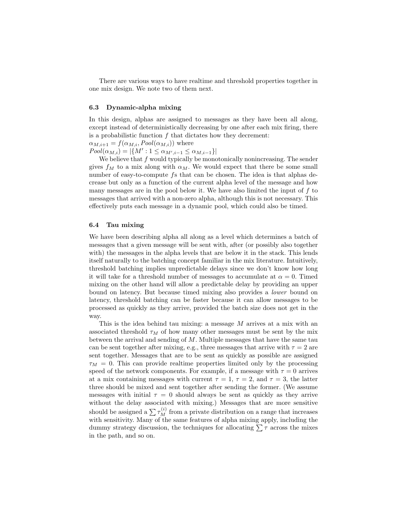There are various ways to have realtime and threshold properties together in one mix design. We note two of them next.

#### 6.3 Dynamic-alpha mixing

In this design, alphas are assigned to messages as they have been all along, except instead of deterministically decreasing by one after each mix firing, there is a probabilistic function  $f$  that dictates how they decrement:

 $\alpha_{M,i+1} = f(\alpha_{M,i}, Pool(\alpha_{M,i}))$  where

 $Pool(\alpha_{M,i}) = |\{M': 1 \leq \alpha_{M',i-1} \leq \alpha_{M,i-1}\}|$ 

We believe that  $f$  would typically be monotonically nonincreasing. The sender gives  $f_M$  to a mix along with  $\alpha_M$ . We would expect that there be some small number of easy-to-compute fs that can be chosen. The idea is that alphas decrease but only as a function of the current alpha level of the message and how many messages are in the pool below it. We have also limited the input of  $f$  to messages that arrived with a non-zero alpha, although this is not necessary. This effectively puts each message in a dynamic pool, which could also be timed.

#### 6.4 Tau mixing

We have been describing alpha all along as a level which determines a batch of messages that a given message will be sent with, after (or possibly also together with) the messages in the alpha levels that are below it in the stack. This lends itself naturally to the batching concept familiar in the mix literature. Intuitively, threshold batching implies unpredictable delays since we don't know how long it will take for a threshold number of messages to accumulate at  $\alpha = 0$ . Timed mixing on the other hand will allow a predictable delay by providing an upper bound on latency. But because timed mixing also provides a lower bound on latency, threshold batching can be faster because it can allow messages to be processed as quickly as they arrive, provided the batch size does not get in the way.

This is the idea behind tau mixing: a message M arrives at a mix with an associated threshold  $\tau_M$  of how many other messages must be sent by the mix between the arrival and sending of M. Multiple messages that have the same tau can be sent together after mixing, e.g., three messages that arrive with  $\tau = 2$  are sent together. Messages that are to be sent as quickly as possible are assigned  $\tau_M = 0$ . This can provide realtime properties limited only by the processing speed of the network components. For example, if a message with  $\tau = 0$  arrives at a mix containing messages with current  $\tau = 1, \tau = 2$ , and  $\tau = 3$ , the latter three should be mixed and sent together after sending the former. (We assume messages with initial  $\tau = 0$  should always be sent as quickly as they arrive without the delay associated with mixing.) Messages that are more sensitive should be assigned a  $\sum \tau_M^{(i)}$  from a private distribution on a range that increases with sensitivity. Many of the same features of alpha mixing apply, including the dummy strategy discussion, the techniques for allocating  $\sum \tau$  across the mixes in the path, and so on.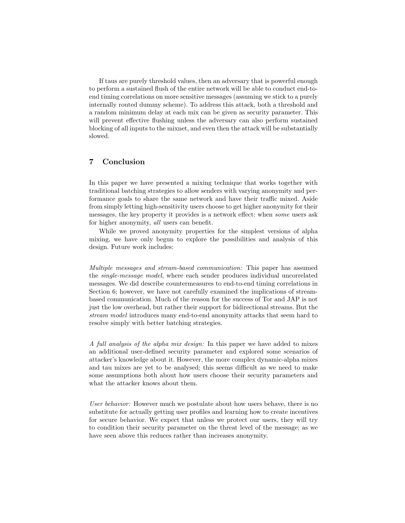If taus are purely threshold values, then an adversary that is powerful enough to perform a sustained flush of the entire network will be able to conduct end-toend timing correlations on more sensitive messages (assuming we stick to a purely internally routed dummy scheme). To address this attack, both a threshold and a random minimum delay at each mix can be given as security parameter. This will prevent effective flushing unless the adversary can also perform sustained blocking of all inputs to the mixnet, and even then the attack will be substantially slowed.

## 7 Conclusion

In this paper we have presented a mixing technique that works together with traditional batching strategies to allow senders with varying anonymity and performance goals to share the same network and have their traffic mixed. Aside from simply letting high-sensitivity users choose to get higher anonymity for their messages, the key property it provides is a network effect: when some users ask for higher anonymity, all users can benefit.

While we proved anonymity properties for the simplest versions of alpha mixing, we have only begun to explore the possibilities and analysis of this design. Future work includes:

Multiple messages and stream-based communication: This paper has assumed the single-message model, where each sender produces individual uncorrelated messages. We did describe countermeasures to end-to-end timing correlations in Section 6; however, we have not carefully examined the implications of streambased communication. Much of the reason for the success of Tor and JAP is not just the low overhead, but rather their support for bidirectional streams. But the stream model introduces many end-to-end anonymity attacks that seem hard to resolve simply with better batching strategies.

A full analysis of the alpha mix design: In this paper we have added to mixes an additional user-defined security parameter and explored some scenarios of attacker's knowledge about it. However, the more complex dynamic-alpha mixes and tau mixes are yet to be analysed; this seems difficult as we need to make some assumptions both about how users choose their security parameters and what the attacker knows about them.

User behavior: However much we postulate about how users behave, there is no substitute for actually getting user profiles and learning how to create incentives for secure behavior. We expect that unless we protect our users, they will try to condition their security parameter on the threat level of the message; as we have seen above this reduces rather than increases anonymity.